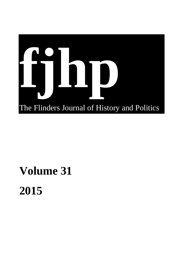

## **Volume 31 2015**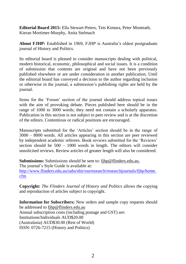**Editorial Board 2015:** Ella Stewart-Peters, Tets Kimura, Peter Monteath, Kieran Mortimer-Murphy, Anita Stelmach

**About FJHP:** Established in 1969, *FJHP* is Australia's oldest postgraduate journal of History and Politics.

Its editorial board is pleased to consider manuscripts dealing with political, modern historical, economic, philosophical and social issues. It is a condition of submission that contents are original and have not been previously published elsewhere or are under consideration in another publication. Until the editorial board has conveyed a decision to the author regarding inclusion or otherwise in the journal, a submission's publishing rights are held by the journal.

Items for the 'Forum' section of the journal should address topical issues with the aim of provoking debate. Pieces published here should be in the range of 1000 to 3000 words; they need not contain a scholarly apparatus. Publication in this section is not subject to peer review and is at the discretion of the editors. Contentious or radical positions are encouraged.

Manuscripts submitted for the 'Articles' section should be in the range of 3000 – 8000 words. All articles appearing in this section are peer reviewed by independent academic referees. Book reviews submitted for the 'Reviews' section should be 500 – 1000 words in length. The editors will consider unsolicited reviews. Review articles of greater length will also be considered.

**Submissions:** Submissions should be sent to: [fjhp@flinders.edu.au.](mailto:fjhp@flinders.edu.au) The journal's Style Guide is available at: [http://www.flinders.edu.au/sabs/shir/ourresearch/researchjournals/fjhp/home.](http://www.flinders.edu.au/sabs/shir/ourresearch/researchjournals/fjhp/home.cfm) [cfm](http://www.flinders.edu.au/sabs/shir/ourresearch/researchjournals/fjhp/home.cfm)

**Copyright:** *The Flinders Journal of History and Politics* allows the copying and reproduction of articles subject to copyright.

**Information for Subscribers:** New orders and sample copy requests should be addressed to [fjhp@flinders.edu.au](mailto:fjhp@flinders.edu.au) Annual subscription costs (including postage and GST) are: Institutions/Individuals AUD\$20.00 (Australasia) AUD\$30.00 (Rest of World) ISSN: 0726-7215 (History and Politics)